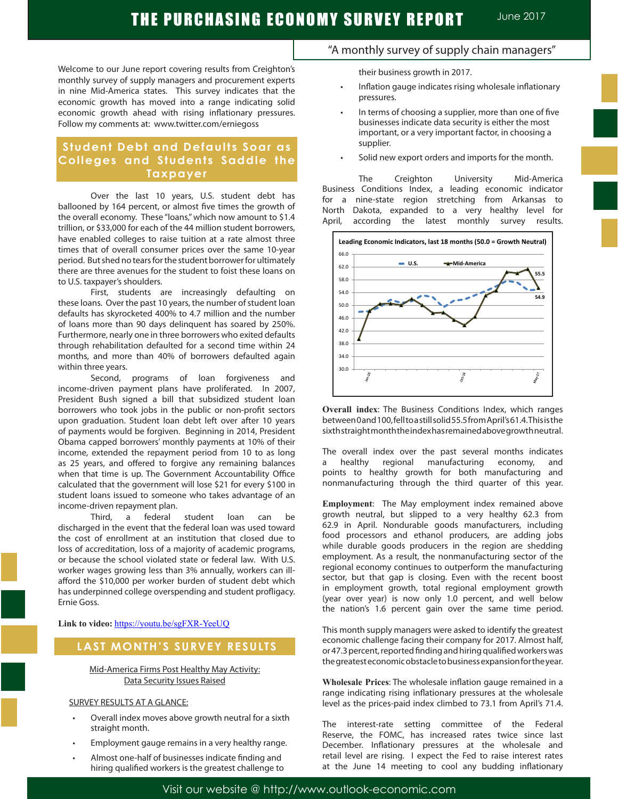Welcome to our June report covering results from Creighton's monthly survey of supply managers and procurement experts in nine Mid-America states. This survey indicates that the economic growth has moved into a range indicating solid economic growth ahead with rising inflationary pressures. Follow my comments at: www.twitter.com/erniegoss

# **Student Debt and Defaults Soar as Colleges and Students Saddle the Taxpayer**

Over the last 10 years, U.S. student debt has ballooned by 164 percent, or almost five times the growth of the overall economy. These "loans," which now amount to \$1.4 trillion, or \$33,000 for each of the 44 million student borrowers, have enabled colleges to raise tuition at a rate almost three times that of overall consumer prices over the same 10-year period. But shed no tears for the student borrower for ultimately there are three avenues for the student to foist these loans on to U.S. taxpayer's shoulders.

First, students are increasingly defaulting on these loans. Over the past 10 years, the number of student loan defaults has skyrocketed 400% to 4.7 million and the number of loans more than 90 days delinquent has soared by 250%. Furthermore, nearly one in three borrowers who exited defaults through rehabilitation defaulted for a second time within 24 months, and more than 40% of borrowers defaulted again within three years.

Second, programs of loan forgiveness and income-driven payment plans have proliferated. In 2007, President Bush signed a bill that subsidized student loan borrowers who took jobs in the public or non-profit sectors upon graduation. Student loan debt left over after 10 years of payments would be forgiven. Beginning in 2014, President Obama capped borrowers' monthly payments at 10% of their income, extended the repayment period from 10 to as long as 25 years, and offered to forgive any remaining balances when that time is up. The Government Accountability Office calculated that the government will lose \$21 for every \$100 in student loans issued to someone who takes advantage of an income-driven repayment plan.

Third, a federal student loan can be discharged in the event that the federal loan was used toward the cost of enrollment at an institution that closed due to loss of accreditation, loss of a majority of academic programs, or because the school violated state or federal law. With U.S. worker wages growing less than 3% annually, workers can illafford the \$10,000 per worker burden of student debt which has underpinned college overspending and student profligacy. Ernie Goss.

**Link to video:** https://youtu.be/sgFXR-YeeUQ

# **LAST MONTH'S SURVEY RESULTS**

Mid-America Firms Post Healthy May Activity: Data Security Issues Raised

### SURVEY RESULTS AT A GLANCE:

- Overall index moves above growth neutral for a sixth straight month.
- Employment gauge remains in a very healthy range.
- Almost one-half of businesses indicate finding and hiring qualified workers is the greatest challenge to

# "A monthly survey of supply chain managers"

their business growth in 2017.

- Inflation gauge indicates rising wholesale inflationary pressures.
- In terms of choosing a supplier, more than one of five businesses indicate data security is either the most important, or a very important factor, in choosing a supplier.
- Solid new export orders and imports for the month.

The Creighton University Mid-America Business Conditions Index, a leading economic indicator for a nine-state region stretching from Arkansas to North Dakota, expanded to a very healthy level for April, according the latest monthly survey results.



**Overall index**: The Business Conditions Index, which ranges between 0 and 100, fell to a still solid 55.5 from April's 61.4. This is the sixth straight month the index has remained above growth neutral.

The overall index over the past several months indicates a healthy regional manufacturing economy, and points to healthy growth for both manufacturing and nonmanufacturing through the third quarter of this year.

**Employment**: The May employment index remained above growth neutral, but slipped to a very healthy 62.3 from 62.9 in April. Nondurable goods manufacturers, including food processors and ethanol producers, are adding jobs while durable goods producers in the region are shedding employment. As a result, the nonmanufacturing sector of the regional economy continues to outperform the manufacturing sector, but that gap is closing. Even with the recent boost in employment growth, total regional employment growth (year over year) is now only 1.0 percent, and well below the nation's 1.6 percent gain over the same time period.

This month supply managers were asked to identify the greatest economic challenge facing their company for 2017. Almost half, or 47.3 percent, reported finding and hiring qualified workers was the greatest economic obstacle to business expansion for the year.

**Wholesale Prices**: The wholesale inflation gauge remained in a range indicating rising inflationary pressures at the wholesale level as the prices-paid index climbed to 73.1 from April's 71.4.

The interest-rate setting committee of the Federal Reserve, the FOMC, has increased rates twice since last December. Inflationary pressures at the wholesale and retail level are rising. I expect the Fed to raise interest rates at the June 14 meeting to cool any budding inflationary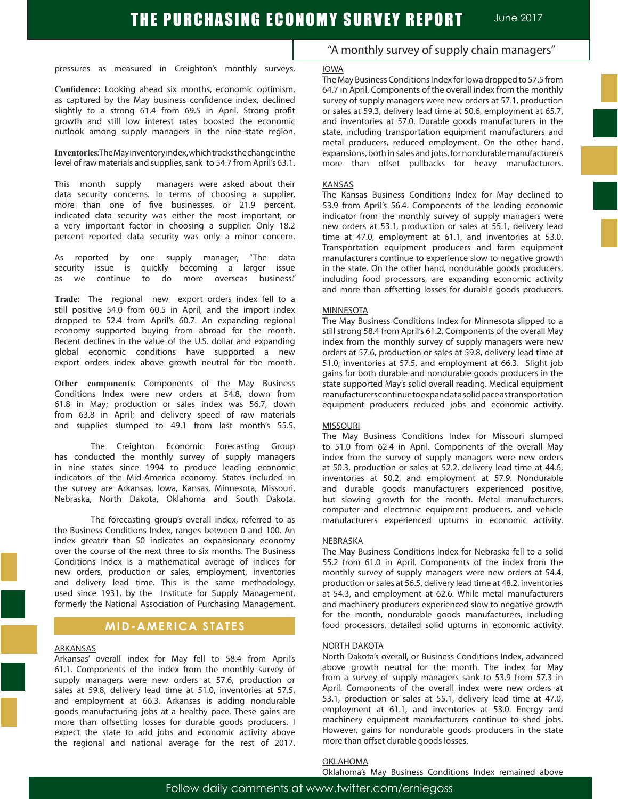pressures as measured in Creighton's monthly surveys.

**Confidence:** Looking ahead six months, economic optimism, as captured by the May business confidence index, declined slightly to a strong 61.4 from 69.5 in April. Strong profit growth and still low interest rates boosted the economic outlook among supply managers in the nine-state region.

**Inventories**: The May inventory index, which tracks the change in the level of raw materials and supplies, sank to 54.7 from April's 63.1.

This month supply managers were asked about their data security concerns. In terms of choosing a supplier, more than one of five businesses, or 21.9 percent, indicated data security was either the most important, or a very important factor in choosing a supplier. Only 18.2 percent reported data security was only a minor concern.

As reported by one supply manager, "The data security issue is quickly becoming a larger issue as we continue to do more overseas business."

**Trade**: The regional new export orders index fell to a still positive 54.0 from 60.5 in April, and the import index dropped to 52.4 from April's 60.7. An expanding regional economy supported buying from abroad for the month. Recent declines in the value of the U.S. dollar and expanding global economic conditions have supported a new export orders index above growth neutral for the month.

**Other components**: Components of the May Business Conditions Index were new orders at 54.8, down from 61.8 in May; production or sales index was 56.7, down from 63.8 in April; and delivery speed of raw materials and supplies slumped to 49.1 from last month's 55.5.

The Creighton Economic Forecasting Group has conducted the monthly survey of supply managers in nine states since 1994 to produce leading economic indicators of the Mid-America economy. States included in the survey are Arkansas, Iowa, Kansas, Minnesota, Missouri, Nebraska, North Dakota, Oklahoma and South Dakota.

The forecasting group's overall index, referred to as the Business Conditions Index, ranges between 0 and 100. An index greater than 50 indicates an expansionary economy over the course of the next three to six months. The Business Conditions Index is a mathematical average of indices for new orders, production or sales, employment, inventories and delivery lead time. This is the same methodology, used since 1931, by the Institute for Supply Management, formerly the National Association of Purchasing Management.

### **MID-AMERICA STATES**

### ARKANSAS

Arkansas' overall index for May fell to 58.4 from April's 61.1. Components of the index from the monthly survey of supply managers were new orders at 57.6, production or sales at 59.8, delivery lead time at 51.0, inventories at 57.5, and employment at 66.3. Arkansas is adding nondurable goods manufacturing jobs at a healthy pace. These gains are more than offsetting losses for durable goods producers. I expect the state to add jobs and economic activity above the regional and national average for the rest of 2017.

### "A monthly survey of supply chain managers"

#### IOWA

The May Business Conditions Index for Iowa dropped to 57.5 from 64.7 in April. Components of the overall index from the monthly survey of supply managers were new orders at 57.1, production or sales at 59.3, delivery lead time at 50.6, employment at 65.7, and inventories at 57.0. Durable goods manufacturers in the state, including transportation equipment manufacturers and metal producers, reduced employment. On the other hand, expansions, both in sales and jobs, for nondurable manufacturers more than offset pullbacks for heavy manufacturers.

### KANSAS

The Kansas Business Conditions Index for May declined to 53.9 from April's 56.4. Components of the leading economic indicator from the monthly survey of supply managers were new orders at 53.1, production or sales at 55.1, delivery lead time at 47.0, employment at 61.1, and inventories at 53.0. Transportation equipment producers and farm equipment manufacturers continue to experience slow to negative growth in the state. On the other hand, nondurable goods producers, including food processors, are expanding economic activity and more than offsetting losses for durable goods producers.

### MINNESOTA

The May Business Conditions Index for Minnesota slipped to a still strong 58.4 from April's 61.2. Components of the overall May index from the monthly survey of supply managers were new orders at 57.6, production or sales at 59.8, delivery lead time at 51.0, inventories at 57.5, and employment at 66.3. Slight job gains for both durable and nondurable goods producers in the state supported May's solid overall reading. Medical equipment manufacturers continue to expand at a solid pace as transportation equipment producers reduced jobs and economic activity.

#### MISSOURI

The May Business Conditions Index for Missouri slumped to 51.0 from 62.4 in April. Components of the overall May index from the survey of supply managers were new orders at 50.3, production or sales at 52.2, delivery lead time at 44.6, inventories at 50.2, and employment at 57.9. Nondurable and durable goods manufacturers experienced positive, but slowing growth for the month. Metal manufacturers, computer and electronic equipment producers, and vehicle manufacturers experienced upturns in economic activity.

#### NEBRASKA

The May Business Conditions Index for Nebraska fell to a solid 55.2 from 61.0 in April. Components of the index from the monthly survey of supply managers were new orders at 54.4, production or sales at 56.5, delivery lead time at 48.2, inventories at 54.3, and employment at 62.6. While metal manufacturers and machinery producers experienced slow to negative growth for the month, nondurable goods manufacturers, including food processors, detailed solid upturns in economic activity.

#### NORTH DAKOTA

North Dakota's overall, or Business Conditions Index, advanced above growth neutral for the month. The index for May from a survey of supply managers sank to 53.9 from 57.3 in April. Components of the overall index were new orders at 53.1, production or sales at 55.1, delivery lead time at 47.0, employment at 61.1, and inventories at 53.0. Energy and machinery equipment manufacturers continue to shed jobs. However, gains for nondurable goods producers in the state more than offset durable goods losses.

OKLAHOMA

Oklahoma's May Business Conditions Index remained above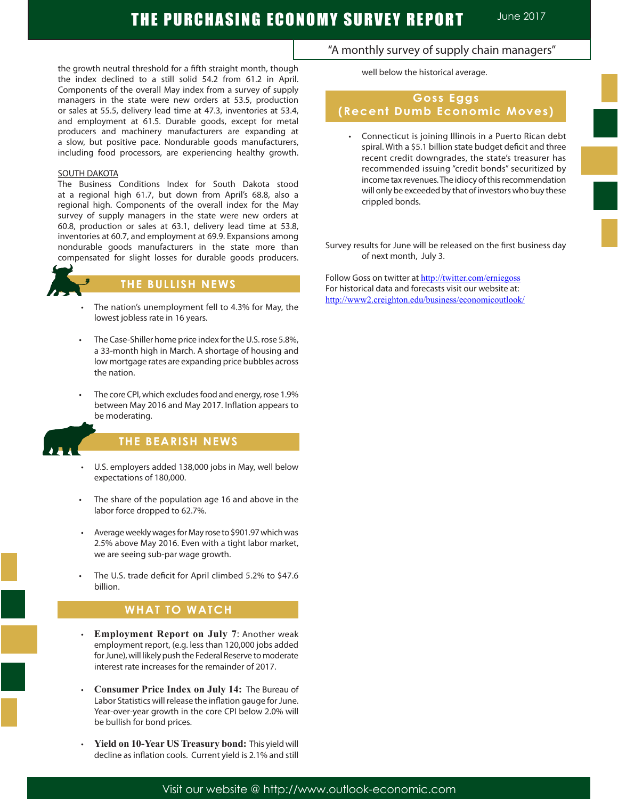the growth neutral threshold for a fifth straight month, though the index declined to a still solid 54.2 from 61.2 in April. Components of the overall May index from a survey of supply managers in the state were new orders at 53.5, production or sales at 55.5, delivery lead time at 47.3, inventories at 53.4, and employment at 61.5. Durable goods, except for metal producers and machinery manufacturers are expanding at a slow, but positive pace. Nondurable goods manufacturers, including food processors, are experiencing healthy growth.

### SOUTH DAKOTA

The Business Conditions Index for South Dakota stood at a regional high 61.7, but down from April's 68.8, also a regional high. Components of the overall index for the May survey of supply managers in the state were new orders at 60.8, production or sales at 63.1, delivery lead time at 53.8, inventories at 60.7, and employment at 69.9. Expansions among nondurable goods manufacturers in the state more than compensated for slight losses for durable goods producers.



### **THE BULLISH NEWS**

- The nation's unemployment fell to 4.3% for May, the lowest jobless rate in 16 years.
- The Case-Shiller home price index for the U.S. rose 5.8%, a 33-month high in March. A shortage of housing and low mortgage rates are expanding price bubbles across the nation.
- The core CPI, which excludes food and energy, rose 1.9% between May 2016 and May 2017. Inflation appears to be moderating.



Ï

### **THE BEARISH NEWS**

- U.S. employers added 138,000 jobs in May, well below expectations of 180,000.
- The share of the population age 16 and above in the labor force dropped to 62.7%.
- Average weekly wages for May rose to \$901.97 which was 2.5% above May 2016. Even with a tight labor market, we are seeing sub-par wage growth.
- The U.S. trade deficit for April climbed 5.2% to \$47.6 billion.

# **WHAT TO WATCH**

- **Employment Report on July 7: Another weak** employment report, (e.g. less than 120,000 jobs added for June), will likely push the Federal Reserve to moderate interest rate increases for the remainder of 2017.
- **Consumer Price Index on July 14: The Bureau of** Labor Statistics will release the inflation gauge for June. Year-over-year growth in the core CPI below 2.0% will be bullish for bond prices.
- Yield on 10-Year US Treasury bond: This yield will decline as inflation cools. Current yield is 2.1% and still

### "A monthly survey of supply chain managers"

well below the historical average.

# **Goss Eggs (Recent Dumb Economic Moves)**

Connecticut is joining Illinois in a Puerto Rican debt spiral. With a \$5.1 billion state budget deficit and three recent credit downgrades, the state's treasurer has recommended issuing "credit bonds" securitized by income tax revenues. The idiocy of this recommendation will only be exceeded by that of investors who buy these crippled bonds.

Survey results for June will be released on the first business day of next month, July 3.

Follow Goss on twitter at http://twitter.com/erniegoss For historical data and forecasts visit our website at: http://www2.creighton.edu/business/economicoutlook/